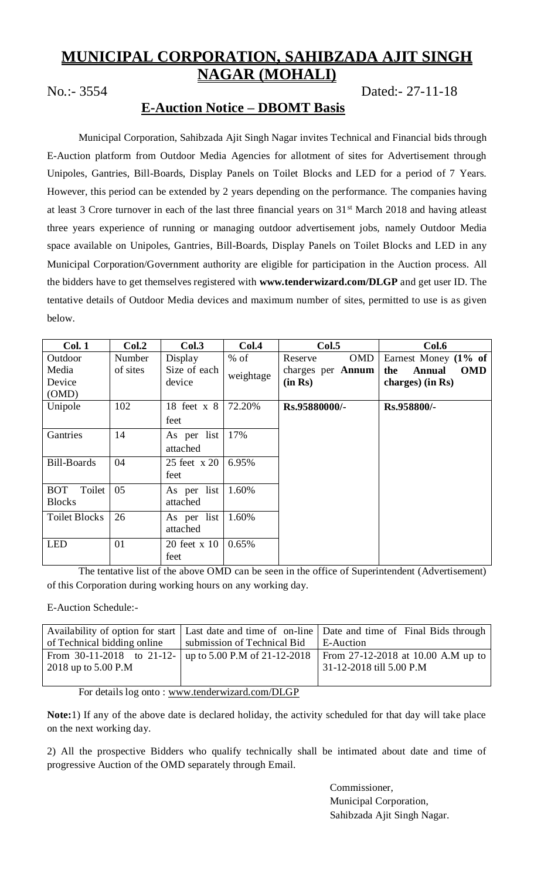# **MUNICIPAL CORPORATION, SAHIBZADA AJIT SINGH NAGAR (MOHALI)**

No.:- 3554 Dated:- 27-11-18

## **E-Auction Notice – DBOMT Basis**

Municipal Corporation, Sahibzada Ajit Singh Nagar invites Technical and Financial bids through E-Auction platform from Outdoor Media Agencies for allotment of sites for Advertisement through Unipoles, Gantries, Bill-Boards, Display Panels on Toilet Blocks and LED for a period of 7 Years. However, this period can be extended by 2 years depending on the performance. The companies having at least 3 Crore turnover in each of the last three financial years on 31st March 2018 and having atleast three years experience of running or managing outdoor advertisement jobs, namely Outdoor Media space available on Unipoles, Gantries, Bill-Boards, Display Panels on Toilet Blocks and LED in any Municipal Corporation/Government authority are eligible for participation in the Auction process. All the bidders have to get themselves registered with **www.tenderwizard.com/DLGP** and get user ID. The tentative details of Outdoor Media devices and maximum number of sites, permitted to use is as given below.

| Col.1                | Col.2    | Col.3            | Col.4     | Col.5                    | Col.6                              |
|----------------------|----------|------------------|-----------|--------------------------|------------------------------------|
| Outdoor              | Number   | Display          | $%$ of    | <b>OMD</b><br>Reserve    | Earnest Money $(1\%$ of            |
| Media                | of sites | Size of each     | weightage | charges per <b>Annum</b> | the<br><b>Annual</b><br><b>OMD</b> |
| Device               |          | device           |           | (in Rs)                  | charges) (in Rs)                   |
| (OMD)                |          |                  |           |                          |                                    |
| Unipole              | 102      | 18 feet $x$ 8    | 72.20%    | Rs.95880000/-            | Rs.958800/-                        |
|                      |          | feet             |           |                          |                                    |
| Gantries             | 14       | As per list      | 17%       |                          |                                    |
|                      |          | attached         |           |                          |                                    |
| Bill-Boards          | 04       | 25 feet x 20     | 6.95%     |                          |                                    |
|                      |          | feet             |           |                          |                                    |
| Toilet<br><b>BOT</b> | 05       | As per list      | 1.60%     |                          |                                    |
| <b>Blocks</b>        |          | attached         |           |                          |                                    |
| <b>Toilet Blocks</b> | 26       | As per list      | 1.60%     |                          |                                    |
|                      |          | attached         |           |                          |                                    |
| <b>LED</b>           | 01       | $20$ feet x $10$ | 0.65%     |                          |                                    |
|                      |          | feet             |           |                          |                                    |

The tentative list of the above OMD can be seen in the office of Superintendent (Advertisement) of this Corporation during working hours on any working day.

E-Auction Schedule:-

|                                                                                                                                                                                                                                       |                                                          | Availability of option for start Last date and time of on-line Date and time of Final Bids through |
|---------------------------------------------------------------------------------------------------------------------------------------------------------------------------------------------------------------------------------------|----------------------------------------------------------|----------------------------------------------------------------------------------------------------|
| of Technical bidding online                                                                                                                                                                                                           | submission of Technical Bid                              | E-Auction                                                                                          |
|                                                                                                                                                                                                                                       | From 30-11-2018 to 21-12-   up to 5.00 P.M of 21-12-2018 | From $27-12-2018$ at 10.00 A.M up to                                                               |
| 2018 up to 5.00 P.M                                                                                                                                                                                                                   |                                                          | 31-12-2018 till 5.00 P.M                                                                           |
|                                                                                                                                                                                                                                       |                                                          |                                                                                                    |
| $\blacksquare$ , and the set of the set of the set of the set of the set of the set of the set of the set of the set of the set of the set of the set of the set of the set of the set of the set of the set of the set of the set of | $\sim$ $\sim$ $\sim$                                     |                                                                                                    |

For details log onto : www.tenderwizard.com/DLGP

**Note:**1) If any of the above date is declared holiday, the activity scheduled for that day will take place on the next working day.

2) All the prospective Bidders who qualify technically shall be intimated about date and time of progressive Auction of the OMD separately through Email.

> Commissioner, Municipal Corporation, Sahibzada Ajit Singh Nagar.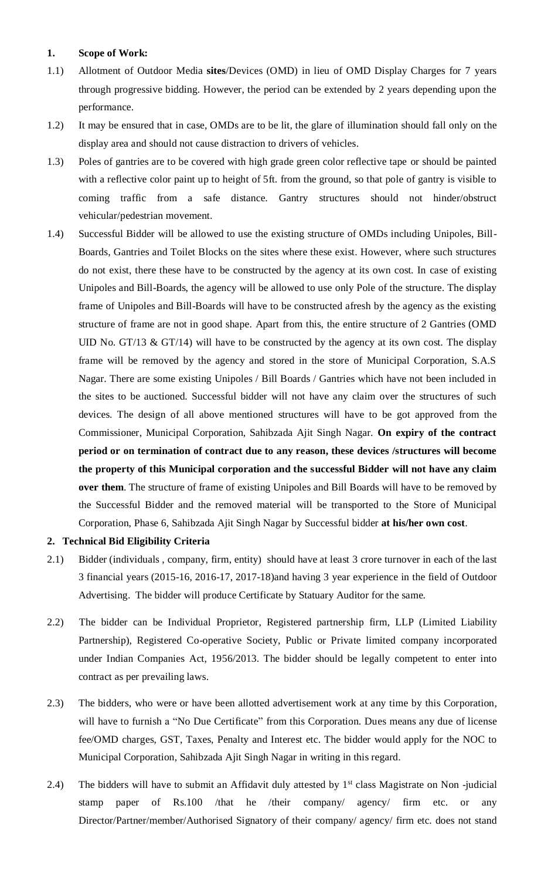#### **1. Scope of Work:**

- 1.1) Allotment of Outdoor Media **sites**/Devices (OMD) in lieu of OMD Display Charges for 7 years through progressive bidding. However, the period can be extended by 2 years depending upon the performance.
- 1.2) It may be ensured that in case, OMDs are to be lit, the glare of illumination should fall only on the display area and should not cause distraction to drivers of vehicles.
- 1.3) Poles of gantries are to be covered with high grade green color reflective tape or should be painted with a reflective color paint up to height of 5ft. from the ground, so that pole of gantry is visible to coming traffic from a safe distance. Gantry structures should not hinder/obstruct vehicular/pedestrian movement.
- 1.4) Successful Bidder will be allowed to use the existing structure of OMDs including Unipoles, Bill-Boards, Gantries and Toilet Blocks on the sites where these exist. However, where such structures do not exist, there these have to be constructed by the agency at its own cost. In case of existing Unipoles and Bill-Boards, the agency will be allowed to use only Pole of the structure. The display frame of Unipoles and Bill-Boards will have to be constructed afresh by the agency as the existing structure of frame are not in good shape. Apart from this, the entire structure of 2 Gantries (OMD UID No.  $GT/13 \& GT/14$ ) will have to be constructed by the agency at its own cost. The display frame will be removed by the agency and stored in the store of Municipal Corporation, S.A.S Nagar. There are some existing Unipoles / Bill Boards / Gantries which have not been included in the sites to be auctioned. Successful bidder will not have any claim over the structures of such devices. The design of all above mentioned structures will have to be got approved from the Commissioner, Municipal Corporation, Sahibzada Ajit Singh Nagar. **On expiry of the contract period or on termination of contract due to any reason, these devices /structures will become the property of this Municipal corporation and the successful Bidder will not have any claim over them**. The structure of frame of existing Unipoles and Bill Boards will have to be removed by the Successful Bidder and the removed material will be transported to the Store of Municipal Corporation, Phase 6, Sahibzada Ajit Singh Nagar by Successful bidder **at his/her own cost**.

#### **2. Technical Bid Eligibility Criteria**

- 2.1) Bidder (individuals , company, firm, entity) should have at least 3 crore turnover in each of the last 3 financial years (2015-16, 2016-17, 2017-18)and having 3 year experience in the field of Outdoor Advertising. The bidder will produce Certificate by Statuary Auditor for the same.
- 2.2) The bidder can be Individual Proprietor, Registered partnership firm, LLP (Limited Liability Partnership), Registered Co-operative Society, Public or Private limited company incorporated under Indian Companies Act, 1956/2013. The bidder should be legally competent to enter into contract as per prevailing laws.
- 2.3) The bidders, who were or have been allotted advertisement work at any time by this Corporation, will have to furnish a "No Due Certificate" from this Corporation. Dues means any due of license fee/OMD charges, GST, Taxes, Penalty and Interest etc. The bidder would apply for the NOC to Municipal Corporation, Sahibzada Ajit Singh Nagar in writing in this regard.
- 2.4) The bidders will have to submit an Affidavit duly attested by  $1<sup>st</sup>$  class Magistrate on Non-judicial stamp paper of Rs.100 /that he /their company/ agency/ firm etc. or any Director/Partner/member/Authorised Signatory of their company/ agency/ firm etc. does not stand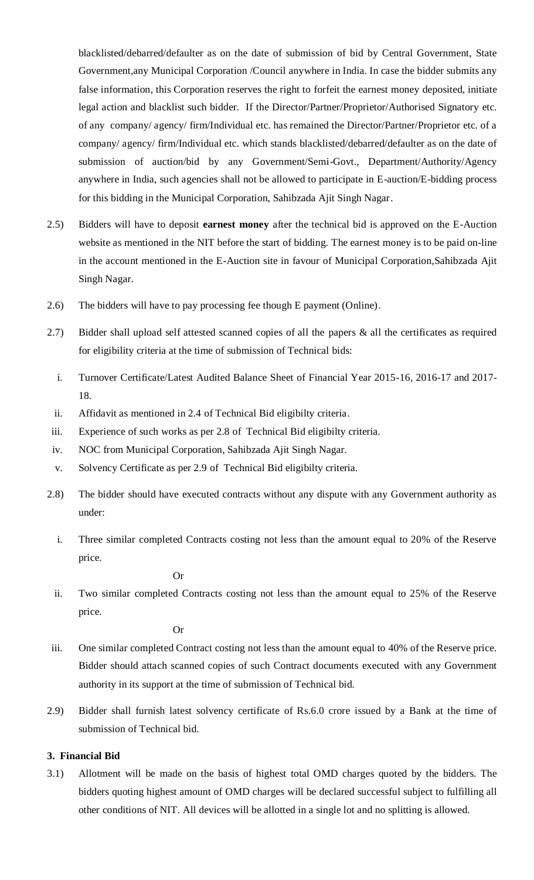blacklisted/debarred/defaulter as on the date of submission of bid by Central Government, State Government,any Municipal Corporation /Council anywhere in India. In case the bidder submits any false information, this Corporation reserves the right to forfeit the earnest money deposited, initiate legal action and blacklist such bidder. If the Director/Partner/Proprietor/Authorised Signatory etc. of any company/ agency/ firm/Individual etc. has remained the Director/Partner/Proprietor etc. of a company/ agency/ firm/Individual etc. which stands blacklisted/debarred/defaulter as on the date of submission of auction/bid by any Government/Semi-Govt., Department/Authority/Agency anywhere in India, such agencies shall not be allowed to participate in E-auction/E-bidding process for this bidding in the Municipal Corporation, Sahibzada Ajit Singh Nagar.

- 2.5) Bidders will have to deposit **earnest money** after the technical bid is approved on the E-Auction website as mentioned in the NIT before the start of bidding. The earnest money is to be paid on-line in the account mentioned in the E-Auction site in favour of Municipal Corporation,Sahibzada Ajit Singh Nagar.
- 2.6) The bidders will have to pay processing fee though E payment (Online).
- 2.7) Bidder shall upload self attested scanned copies of all the papers & all the certificates as required for eligibility criteria at the time of submission of Technical bids:
	- i. Turnover Certificate/Latest Audited Balance Sheet of Financial Year 2015-16, 2016-17 and 2017- 18.
	- ii. Affidavit as mentioned in 2.4 of Technical Bid eligibilty criteria.
- iii. Experience of such works as per 2.8 of Technical Bid eligibilty criteria.
- iv. NOC from Municipal Corporation, Sahibzada Ajit Singh Nagar.
- v. Solvency Certificate as per 2.9 of Technical Bid eligibilty criteria.
- 2.8) The bidder should have executed contracts without any dispute with any Government authority as under:
	- i. Three similar completed Contracts costing not less than the amount equal to 20% of the Reserve price.
		- Or
	- ii. Two similar completed Contracts costing not less than the amount equal to 25% of the Reserve price.

Or

- iii. One similar completed Contract costing not less than the amount equal to 40% of the Reserve price. Bidder should attach scanned copies of such Contract documents executed with any Government authority in its support at the time of submission of Technical bid.
- 2.9) Bidder shall furnish latest solvency certificate of Rs.6.0 crore issued by a Bank at the time of submission of Technical bid.

### **3. Financial Bid**

3.1) Allotment will be made on the basis of highest total OMD charges quoted by the bidders. The bidders quoting highest amount of OMD charges will be declared successful subject to fulfilling all other conditions of NIT. All devices will be allotted in a single lot and no splitting is allowed.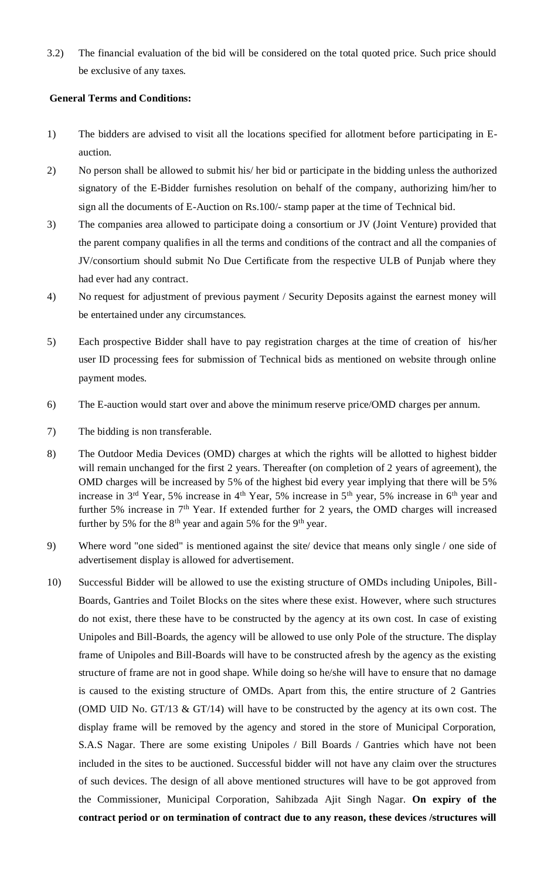3.2) The financial evaluation of the bid will be considered on the total quoted price. Such price should be exclusive of any taxes.

#### **General Terms and Conditions:**

- 1) The bidders are advised to visit all the locations specified for allotment before participating in Eauction.
- 2) No person shall be allowed to submit his/ her bid or participate in the bidding unless the authorized signatory of the E-Bidder furnishes resolution on behalf of the company, authorizing him/her to sign all the documents of E-Auction on Rs.100/- stamp paper at the time of Technical bid.
- 3) The companies area allowed to participate doing a consortium or JV (Joint Venture) provided that the parent company qualifies in all the terms and conditions of the contract and all the companies of JV/consortium should submit No Due Certificate from the respective ULB of Punjab where they had ever had any contract.
- 4) No request for adjustment of previous payment / Security Deposits against the earnest money will be entertained under any circumstances.
- 5) Each prospective Bidder shall have to pay registration charges at the time of creation of his/her user ID processing fees for submission of Technical bids as mentioned on website through online payment modes.
- 6) The E-auction would start over and above the minimum reserve price/OMD charges per annum.
- 7) The bidding is non transferable.
- 8) The Outdoor Media Devices (OMD) charges at which the rights will be allotted to highest bidder will remain unchanged for the first 2 years. Thereafter (on completion of 2 years of agreement), the OMD charges will be increased by 5% of the highest bid every year implying that there will be 5% increase in 3<sup>rd</sup> Year, 5% increase in 4<sup>th</sup> Year, 5% increase in 5<sup>th</sup> year, 5% increase in 6<sup>th</sup> year and further 5% increase in 7<sup>th</sup> Year. If extended further for 2 years, the OMD charges will increased further by 5% for the  $8<sup>th</sup>$  year and again 5% for the 9<sup>th</sup> year.
- 9) Where word "one sided" is mentioned against the site/ device that means only single / one side of advertisement display is allowed for advertisement.
- 10) Successful Bidder will be allowed to use the existing structure of OMDs including Unipoles, Bill-Boards, Gantries and Toilet Blocks on the sites where these exist. However, where such structures do not exist, there these have to be constructed by the agency at its own cost. In case of existing Unipoles and Bill-Boards, the agency will be allowed to use only Pole of the structure. The display frame of Unipoles and Bill-Boards will have to be constructed afresh by the agency as the existing structure of frame are not in good shape. While doing so he/she will have to ensure that no damage is caused to the existing structure of OMDs. Apart from this, the entire structure of 2 Gantries (OMD UID No. GT/13 & GT/14) will have to be constructed by the agency at its own cost. The display frame will be removed by the agency and stored in the store of Municipal Corporation, S.A.S Nagar. There are some existing Unipoles / Bill Boards / Gantries which have not been included in the sites to be auctioned. Successful bidder will not have any claim over the structures of such devices. The design of all above mentioned structures will have to be got approved from the Commissioner, Municipal Corporation, Sahibzada Ajit Singh Nagar. **On expiry of the contract period or on termination of contract due to any reason, these devices /structures will**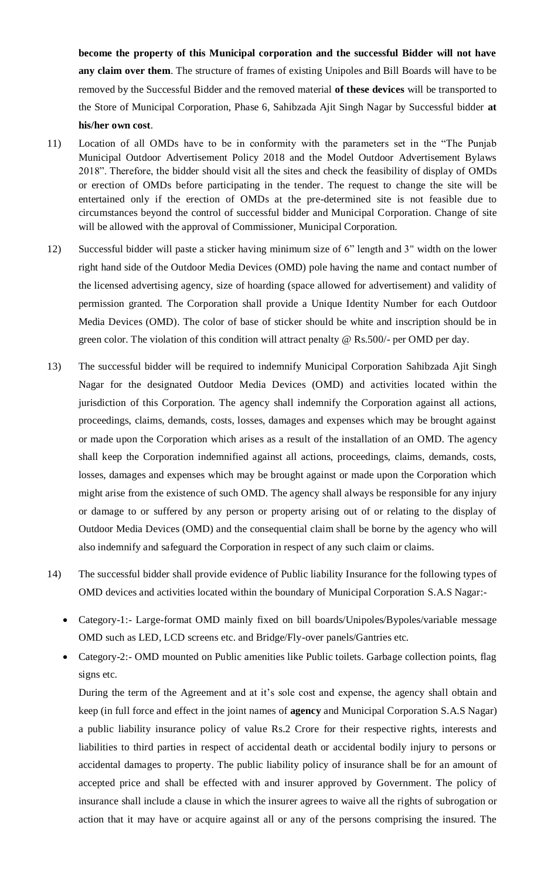**become the property of this Municipal corporation and the successful Bidder will not have any claim over them**. The structure of frames of existing Unipoles and Bill Boards will have to be removed by the Successful Bidder and the removed material **of these devices** will be transported to the Store of Municipal Corporation, Phase 6, Sahibzada Ajit Singh Nagar by Successful bidder **at his/her own cost**.

- 11) Location of all OMDs have to be in conformity with the parameters set in the "The Punjab Municipal Outdoor Advertisement Policy 2018 and the Model Outdoor Advertisement Bylaws 2018". Therefore, the bidder should visit all the sites and check the feasibility of display of OMDs or erection of OMDs before participating in the tender. The request to change the site will be entertained only if the erection of OMDs at the pre-determined site is not feasible due to circumstances beyond the control of successful bidder and Municipal Corporation. Change of site will be allowed with the approval of Commissioner, Municipal Corporation.
- 12) Successful bidder will paste a sticker having minimum size of 6" length and 3" width on the lower right hand side of the Outdoor Media Devices (OMD) pole having the name and contact number of the licensed advertising agency, size of hoarding (space allowed for advertisement) and validity of permission granted. The Corporation shall provide a Unique Identity Number for each Outdoor Media Devices (OMD). The color of base of sticker should be white and inscription should be in green color. The violation of this condition will attract penalty @ Rs.500/- per OMD per day.
- 13) The successful bidder will be required to indemnify Municipal Corporation Sahibzada Ajit Singh Nagar for the designated Outdoor Media Devices (OMD) and activities located within the jurisdiction of this Corporation. The agency shall indemnify the Corporation against all actions, proceedings, claims, demands, costs, losses, damages and expenses which may be brought against or made upon the Corporation which arises as a result of the installation of an OMD. The agency shall keep the Corporation indemnified against all actions, proceedings, claims, demands, costs, losses, damages and expenses which may be brought against or made upon the Corporation which might arise from the existence of such OMD. The agency shall always be responsible for any injury or damage to or suffered by any person or property arising out of or relating to the display of Outdoor Media Devices (OMD) and the consequential claim shall be borne by the agency who will also indemnify and safeguard the Corporation in respect of any such claim or claims.
- 14) The successful bidder shall provide evidence of Public liability Insurance for the following types of OMD devices and activities located within the boundary of Municipal Corporation S.A.S Nagar:-
	- Category-1:- Large-format OMD mainly fixed on bill boards/Unipoles/Bypoles/variable message OMD such as LED, LCD screens etc. and Bridge/Fly-over panels/Gantries etc.
	- Category-2:- OMD mounted on Public amenities like Public toilets. Garbage collection points, flag signs etc.

During the term of the Agreement and at it's sole cost and expense, the agency shall obtain and keep (in full force and effect in the joint names of **agency** and Municipal Corporation S.A.S Nagar) a public liability insurance policy of value Rs.2 Crore for their respective rights, interests and liabilities to third parties in respect of accidental death or accidental bodily injury to persons or accidental damages to property. The public liability policy of insurance shall be for an amount of accepted price and shall be effected with and insurer approved by Government. The policy of insurance shall include a clause in which the insurer agrees to waive all the rights of subrogation or action that it may have or acquire against all or any of the persons comprising the insured. The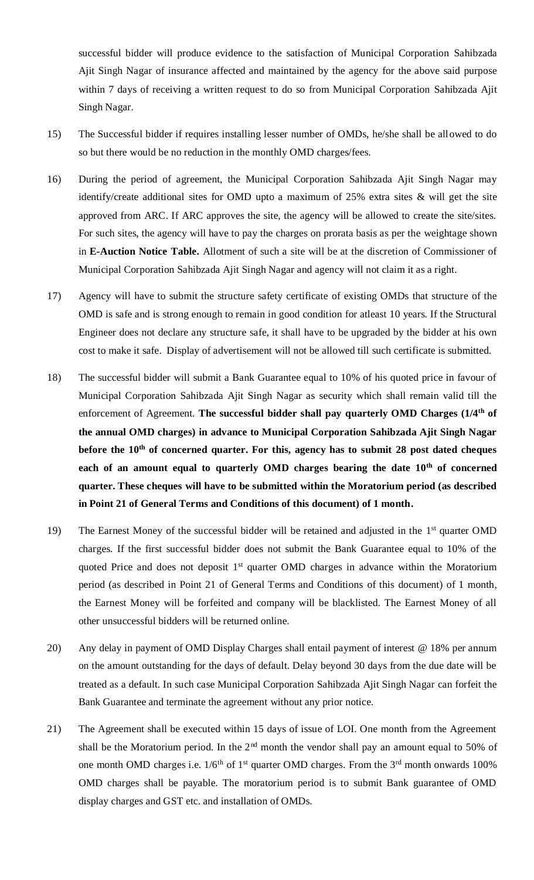successful bidder will produce evidence to the satisfaction of Municipal Corporation Sahibzada Ajit Singh Nagar of insurance affected and maintained by the agency for the above said purpose within 7 days of receiving a written request to do so from Municipal Corporation Sahibzada Ajit Singh Nagar.

- 15) The Successful bidder if requires installing lesser number of OMDs, he/she shall be allowed to do so but there would be no reduction in the monthly OMD charges/fees.
- 16) During the period of agreement, the Municipal Corporation Sahibzada Ajit Singh Nagar may identify/create additional sites for OMD upto a maximum of 25% extra sites & will get the site approved from ARC. If ARC approves the site, the agency will be allowed to create the site/sites. For such sites, the agency will have to pay the charges on prorata basis as per the weightage shown in **E-Auction Notice Table.** Allotment of such a site will be at the discretion of Commissioner of Municipal Corporation Sahibzada Ajit Singh Nagar and agency will not claim it as a right.
- 17) Agency will have to submit the structure safety certificate of existing OMDs that structure of the OMD is safe and is strong enough to remain in good condition for atleast 10 years. If the Structural Engineer does not declare any structure safe, it shall have to be upgraded by the bidder at his own cost to make it safe. Display of advertisement will not be allowed till such certificate is submitted.
- 18) The successful bidder will submit a Bank Guarantee equal to 10% of his quoted price in favour of Municipal Corporation Sahibzada Ajit Singh Nagar as security which shall remain valid till the enforcement of Agreement. **The successful bidder shall pay quarterly OMD Charges (1/4th of the annual OMD charges) in advance to Municipal Corporation Sahibzada Ajit Singh Nagar before the 10th of concerned quarter. For this, agency has to submit 28 post dated cheques each of an amount equal to quarterly OMD charges bearing the date 10th of concerned quarter. These cheques will have to be submitted within the Moratorium period (as described in Point 21 of General Terms and Conditions of this document) of 1 month.**
- 19) The Earnest Money of the successful bidder will be retained and adjusted in the 1<sup>st</sup> quarter OMD charges. If the first successful bidder does not submit the Bank Guarantee equal to 10% of the quoted Price and does not deposit 1<sup>st</sup> quarter OMD charges in advance within the Moratorium period (as described in Point 21 of General Terms and Conditions of this document) of 1 month, the Earnest Money will be forfeited and company will be blacklisted. The Earnest Money of all other unsuccessful bidders will be returned online.
- 20) Any delay in payment of OMD Display Charges shall entail payment of interest @ 18% per annum on the amount outstanding for the days of default. Delay beyond 30 days from the due date will be treated as a default. In such case Municipal Corporation Sahibzada Ajit Singh Nagar can forfeit the Bank Guarantee and terminate the agreement without any prior notice.
- 21) The Agreement shall be executed within 15 days of issue of LOI. One month from the Agreement shall be the Moratorium period. In the  $2<sup>nd</sup>$  month the vendor shall pay an amount equal to 50% of one month OMD charges i.e.  $1/6<sup>th</sup>$  of 1<sup>st</sup> quarter OMD charges. From the 3<sup>rd</sup> month onwards 100% OMD charges shall be payable. The moratorium period is to submit Bank guarantee of OMD display charges and GST etc. and installation of OMDs.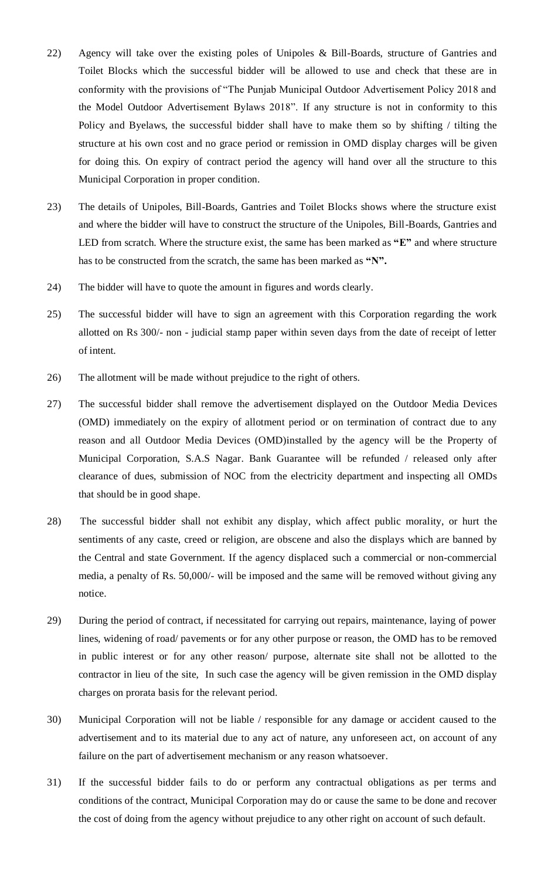- 22) Agency will take over the existing poles of Unipoles & Bill-Boards, structure of Gantries and Toilet Blocks which the successful bidder will be allowed to use and check that these are in conformity with the provisions of "The Punjab Municipal Outdoor Advertisement Policy 2018 and the Model Outdoor Advertisement Bylaws 2018". If any structure is not in conformity to this Policy and Byelaws, the successful bidder shall have to make them so by shifting / tilting the structure at his own cost and no grace period or remission in OMD display charges will be given for doing this. On expiry of contract period the agency will hand over all the structure to this Municipal Corporation in proper condition.
- 23) The details of Unipoles, Bill-Boards, Gantries and Toilet Blocks shows where the structure exist and where the bidder will have to construct the structure of the Unipoles, Bill-Boards, Gantries and LED from scratch. Where the structure exist, the same has been marked as **"E"** and where structure has to be constructed from the scratch, the same has been marked as **"N".**
- 24) The bidder will have to quote the amount in figures and words clearly.
- 25) The successful bidder will have to sign an agreement with this Corporation regarding the work allotted on Rs 300/- non - judicial stamp paper within seven days from the date of receipt of letter of intent.
- 26) The allotment will be made without prejudice to the right of others.
- 27) The successful bidder shall remove the advertisement displayed on the Outdoor Media Devices (OMD) immediately on the expiry of allotment period or on termination of contract due to any reason and all Outdoor Media Devices (OMD)installed by the agency will be the Property of Municipal Corporation, S.A.S Nagar. Bank Guarantee will be refunded / released only after clearance of dues, submission of NOC from the electricity department and inspecting all OMDs that should be in good shape.
- 28) The successful bidder shall not exhibit any display, which affect public morality, or hurt the sentiments of any caste, creed or religion, are obscene and also the displays which are banned by the Central and state Government. If the agency displaced such a commercial or non-commercial media, a penalty of Rs. 50,000/- will be imposed and the same will be removed without giving any notice.
- 29) During the period of contract, if necessitated for carrying out repairs, maintenance, laying of power lines, widening of road/ pavements or for any other purpose or reason, the OMD has to be removed in public interest or for any other reason/ purpose, alternate site shall not be allotted to the contractor in lieu of the site, In such case the agency will be given remission in the OMD display charges on prorata basis for the relevant period.
- 30) Municipal Corporation will not be liable / responsible for any damage or accident caused to the advertisement and to its material due to any act of nature, any unforeseen act, on account of any failure on the part of advertisement mechanism or any reason whatsoever.
- 31) If the successful bidder fails to do or perform any contractual obligations as per terms and conditions of the contract, Municipal Corporation may do or cause the same to be done and recover the cost of doing from the agency without prejudice to any other right on account of such default.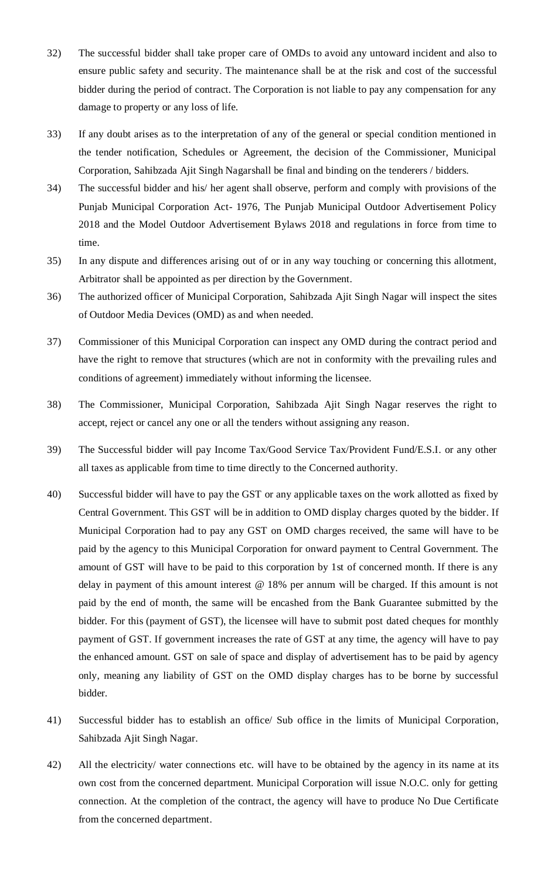- 32) The successful bidder shall take proper care of OMDs to avoid any untoward incident and also to ensure public safety and security. The maintenance shall be at the risk and cost of the successful bidder during the period of contract. The Corporation is not liable to pay any compensation for any damage to property or any loss of life.
- 33) If any doubt arises as to the interpretation of any of the general or special condition mentioned in the tender notification, Schedules or Agreement, the decision of the Commissioner, Municipal Corporation, Sahibzada Ajit Singh Nagarshall be final and binding on the tenderers / bidders.
- 34) The successful bidder and his/ her agent shall observe, perform and comply with provisions of the Punjab Municipal Corporation Act- 1976, The Punjab Municipal Outdoor Advertisement Policy 2018 and the Model Outdoor Advertisement Bylaws 2018 and regulations in force from time to time.
- 35) In any dispute and differences arising out of or in any way touching or concerning this allotment, Arbitrator shall be appointed as per direction by the Government.
- 36) The authorized officer of Municipal Corporation, Sahibzada Ajit Singh Nagar will inspect the sites of Outdoor Media Devices (OMD) as and when needed.
- 37) Commissioner of this Municipal Corporation can inspect any OMD during the contract period and have the right to remove that structures (which are not in conformity with the prevailing rules and conditions of agreement) immediately without informing the licensee.
- 38) The Commissioner, Municipal Corporation, Sahibzada Ajit Singh Nagar reserves the right to accept, reject or cancel any one or all the tenders without assigning any reason.
- 39) The Successful bidder will pay Income Tax/Good Service Tax/Provident Fund/E.S.I. or any other all taxes as applicable from time to time directly to the Concerned authority.
- 40) Successful bidder will have to pay the GST or any applicable taxes on the work allotted as fixed by Central Government. This GST will be in addition to OMD display charges quoted by the bidder. If Municipal Corporation had to pay any GST on OMD charges received, the same will have to be paid by the agency to this Municipal Corporation for onward payment to Central Government. The amount of GST will have to be paid to this corporation by 1st of concerned month. If there is any delay in payment of this amount interest @ 18% per annum will be charged. If this amount is not paid by the end of month, the same will be encashed from the Bank Guarantee submitted by the bidder. For this (payment of GST), the licensee will have to submit post dated cheques for monthly payment of GST. If government increases the rate of GST at any time, the agency will have to pay the enhanced amount. GST on sale of space and display of advertisement has to be paid by agency only, meaning any liability of GST on the OMD display charges has to be borne by successful bidder.
- 41) Successful bidder has to establish an office/ Sub office in the limits of Municipal Corporation, Sahibzada Ajit Singh Nagar.
- 42) All the electricity/ water connections etc. will have to be obtained by the agency in its name at its own cost from the concerned department. Municipal Corporation will issue N.O.C. only for getting connection. At the completion of the contract, the agency will have to produce No Due Certificate from the concerned department.